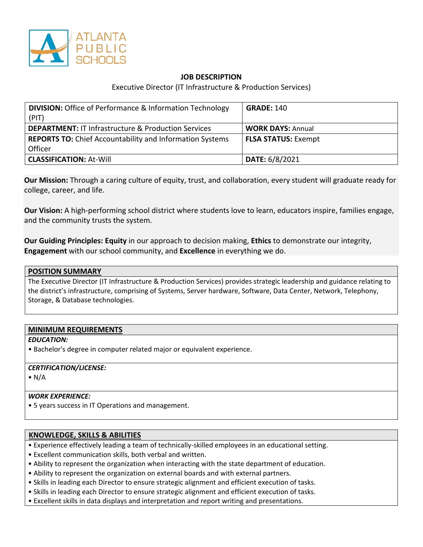

# **JOB DESCRIPTION**

Executive Director (IT Infrastructure & Production Services)

| <b>DIVISION:</b> Office of Performance & Information Technology<br>(PIT) | <b>GRADE: 140</b>          |
|--------------------------------------------------------------------------|----------------------------|
| <b>DEPARTMENT: IT Infrastructure &amp; Production Services</b>           | <b>WORK DAYS: Annual</b>   |
| <b>REPORTS TO:</b> Chief Accountability and Information Systems          | <b>FLSA STATUS: Exempt</b> |
| Officer                                                                  |                            |
| <b>CLASSIFICATION: At-Will</b>                                           | DATE: 6/8/2021             |

**Our Mission:** Through a caring culture of equity, trust, and collaboration, every student will graduate ready for college, career, and life.

**Our Vision:** A high-performing school district where students love to learn, educators inspire, families engage, and the community trusts the system.

**Our Guiding Principles: Equity** in our approach to decision making, **Ethics** to demonstrate our integrity, **Engagement** with our school community, and **Excellence** in everything we do.

The Executive Director (IT Infrastructure & Production Services) provides strategic leadership and guidance relating to the district's infrastructure, comprising of Systems, Server hardware, Software, Data Center, Network, Telephony, Storage, & Database technologies.

# **MINIMUM REQUIREMENTS**

#### *EDUCATION:*

• Bachelor's degree in computer related major or equivalent experience.

#### *CERTIFICATION/LICENSE:*

 $\bullet$  N/A

#### *WORK EXPERIENCE:*

• 5 years success in IT Operations and management.

#### **KNOWLEDGE, SKILLS & ABILITIES**

- Experience effectively leading a team of technically-skilled employees in an educational setting.
- Excellent communication skills, both verbal and written.
- Ability to represent the organization when interacting with the state department of education.
- Ability to represent the organization on external boards and with external partners.
- Skills in leading each Director to ensure strategic alignment and efficient execution of tasks.
- Skills in leading each Director to ensure strategic alignment and efficient execution of tasks.
- Excellent skills in data displays and interpretation and report writing and presentations.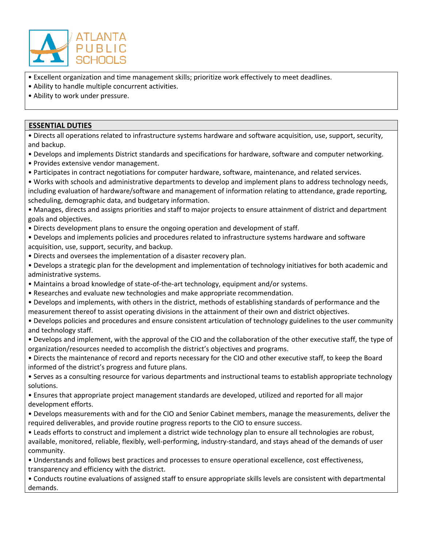

- Excellent organization and time management skills; prioritize work effectively to meet deadlines.
- Ability to handle multiple concurrent activities.
- Ability to work under pressure.

### **ESSENTIAL DUTIES**

• Directs all operations related to infrastructure systems hardware and software acquisition, use, support, security, and backup.

- Develops and implements District standards and specifications for hardware, software and computer networking.
- Provides extensive vendor management.
- Participates in contract negotiations for computer hardware, software, maintenance, and related services.
- Works with schools and administrative departments to develop and implement plans to address technology needs, including evaluation of hardware/software and management of information relating to attendance, grade reporting, scheduling, demographic data, and budgetary information.

• Manages, directs and assigns priorities and staff to major projects to ensure attainment of district and department goals and objectives.

• Directs development plans to ensure the ongoing operation and development of staff.

• Develops and implements policies and procedures related to infrastructure systems hardware and software acquisition, use, support, security, and backup.

- Directs and oversees the implementation of a disaster recovery plan.
- Develops a strategic plan for the development and implementation of technology initiatives for both academic and administrative systems.
- Maintains a broad knowledge of state-of-the-art technology, equipment and/or systems.
- Researches and evaluate new technologies and make appropriate recommendation.
- Develops and implements, with others in the district, methods of establishing standards of performance and the measurement thereof to assist operating divisions in the attainment of their own and district objectives.

• Develops policies and procedures and ensure consistent articulation of technology guidelines to the user community and technology staff.

- Develops and implement, with the approval of the CIO and the collaboration of the other executive staff, the type of organization/resources needed to accomplish the district's objectives and programs.
- Directs the maintenance of record and reports necessary for the CIO and other executive staff, to keep the Board informed of the district's progress and future plans.
- Serves as a consulting resource for various departments and instructional teams to establish appropriate technology solutions.

• Ensures that appropriate project management standards are developed, utilized and reported for all major development efforts.

• Develops measurements with and for the CIO and Senior Cabinet members, manage the measurements, deliver the required deliverables, and provide routine progress reports to the CIO to ensure success.

• Leads efforts to construct and implement a district wide technology plan to ensure all technologies are robust, available, monitored, reliable, flexibly, well-performing, industry-standard, and stays ahead of the demands of user community.

• Understands and follows best practices and processes to ensure operational excellence, cost effectiveness, transparency and efficiency with the district.

• Conducts routine evaluations of assigned staff to ensure appropriate skills levels are consistent with departmental demands.